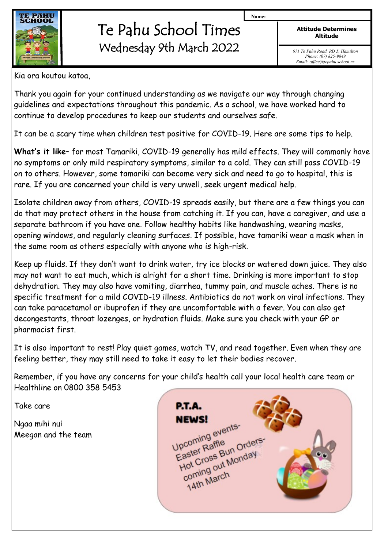

## Te Pahu School Times Wednesday 9th March 2022

**Attitude Determines Altitude**

**Name:**

*671 Te Pahu Road, RD 5, Hamilton Phone: (07) 825-9849 Email: office@tepahu.school.nz*

Kia ora koutou katoa,

Thank you again for your continued understanding as we navigate our way through changing guidelines and expectations throughout this pandemic. As a school, we have worked hard to continue to develop procedures to keep our students and ourselves safe.

It can be a scary time when children test positive for COVID-19. Here are some tips to help.

**What's it like**– for most Tamariki, COVID-19 generally has mild effects. They will commonly have no symptoms or only mild respiratory symptoms, similar to a cold. They can still pass COVID-19 on to others. However, some tamariki can become very sick and need to go to hospital, this is rare. If you are concerned your child is very unwell, seek urgent medical help.

Isolate children away from others, COVID-19 spreads easily, but there are a few things you can do that may protect others in the house from catching it. If you can, have a caregiver, and use a separate bathroom if you have one. Follow healthy habits like handwashing, wearing masks, opening windows, and regularly cleaning surfaces. If possible, have tamariki wear a mask when in the same room as others especially with anyone who is high-risk.

Keep up fluids. If they don't want to drink water, try ice blocks or watered down juice. They also may not want to eat much, which is alright for a short time. Drinking is more important to stop dehydration. They may also have vomiting, diarrhea, tummy pain, and muscle aches. There is no specific treatment for a mild COVID-19 illness. Antibiotics do not work on viral infections. They can take paracetamol or ibuprofen if they are uncomfortable with a fever. You can also get decongestants, throat lozenges, or hydration fluids. Make sure you check with your GP or pharmacist first.

It is also important to rest! Play quiet games, watch TV, and read together. Even when they are feeling better, they may still need to take it easy to let their bodies recover.

Remember, if you have any concerns for your child's health call your local health care team or Healthline on 0800 358 5453

Take care

Ngaa mihi nui Meegan and the team